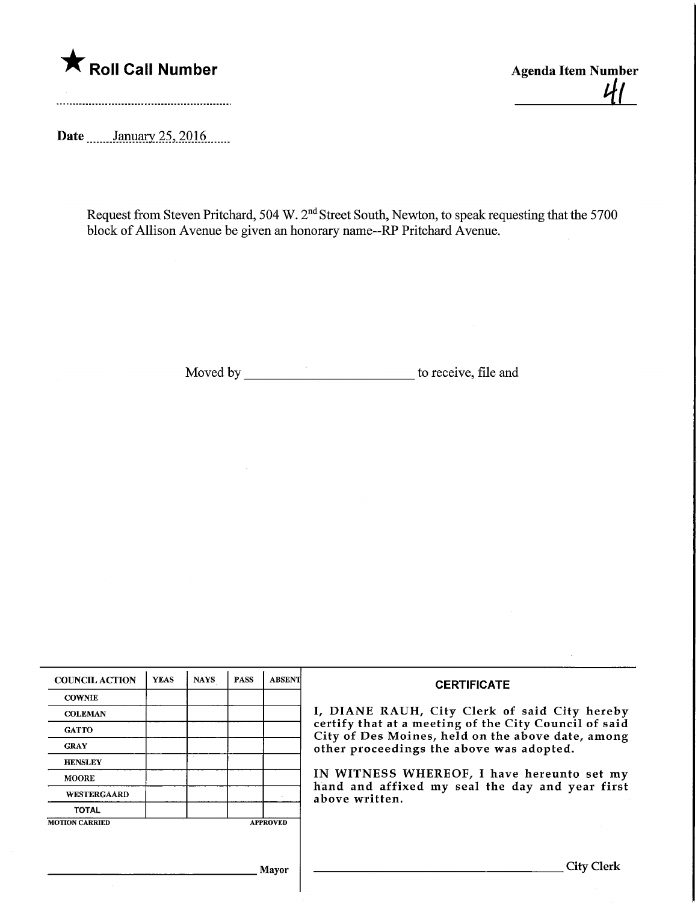

Roll Call Number<br>
Agenda Item Number<br>
Agenda Item Number<br>
Agenda Item Number

Date ........January 25, 2016.......

Request from Steven Pritchard, 504 W.  $2<sup>nd</sup>$  Street South, Newton, to speak requesting that the 570 block of Allison Avenue be given an honorary name--RP Pritchard Avenue.

Moved by to receive, file and

| <b>COUNCIL ACTION</b> | <b>YEAS</b> | <b>NAYS</b> | <b>PASS</b> | <b>ABSENT</b>   | <b>CERTIFICATE</b>                                                                                                                                                                                                                                                                                                         |
|-----------------------|-------------|-------------|-------------|-----------------|----------------------------------------------------------------------------------------------------------------------------------------------------------------------------------------------------------------------------------------------------------------------------------------------------------------------------|
| <b>COWNIE</b>         |             |             |             |                 | I, DIANE RAUH, City Clerk of said City hereby<br>certify that at a meeting of the City Council of said<br>City of Des Moines, held on the above date, among<br>other proceedings the above was adopted.<br>IN WITNESS WHEREOF, I have hereunto set my<br>hand and affixed my seal the day and year first<br>above written. |
| <b>COLEMAN</b>        |             |             |             |                 |                                                                                                                                                                                                                                                                                                                            |
| <b>GATTO</b>          |             |             |             |                 |                                                                                                                                                                                                                                                                                                                            |
| <b>GRAY</b>           |             |             |             |                 |                                                                                                                                                                                                                                                                                                                            |
| <b>HENSLEY</b>        |             |             |             |                 |                                                                                                                                                                                                                                                                                                                            |
| <b>MOORE</b>          |             |             |             |                 |                                                                                                                                                                                                                                                                                                                            |
| <b>WESTERGAARD</b>    |             |             |             |                 |                                                                                                                                                                                                                                                                                                                            |
| <b>TOTAL</b>          |             |             |             |                 |                                                                                                                                                                                                                                                                                                                            |
| <b>MOTION CARRIED</b> |             |             |             | <b>APPROVED</b> |                                                                                                                                                                                                                                                                                                                            |
|                       |             |             |             |                 |                                                                                                                                                                                                                                                                                                                            |
| Mayor                 |             |             |             |                 | City                                                                                                                                                                                                                                                                                                                       |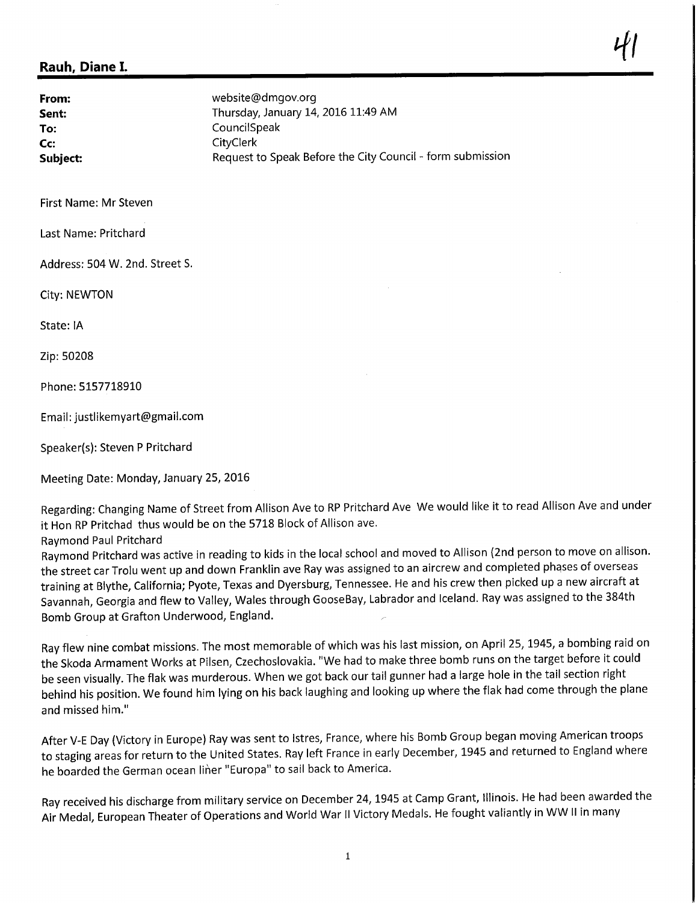## Rauh, Diane I.

**From:** website@dmgov.org<br> **Sent:** Sent: Thursday, January 14 Sent: Sent: Thursday, January 14, 2016 11:49 AM<br>
To: CouncilSpeak To: CouncilSpeak<br>
CouncilSpeak<br>
CityClerk **CouncilSpace CouncilSpace CouncilSpace CouncilSpace CouncilSpace CouncilSpace CouncilSpace CouncilSpace Council**<br>CityClerk Subject: Subject: Request to Speak Before the City Council - form submission

First Name: Mr Steven

Last Name: Pritchard

Address: 504 W. 2nd. Street S.

City: NEWTON

State: IA

Zip: 50208

Phone:5157718910

Email: justlikemyart@gmail.com

Speaker(s): Steven P Pritchard

Meeting Date: Monday, January 25, 2016

Regarding: Changing Name of Street from Allison Ave to RP Pritchard Ave We would like it to read Allison Ave and under it Hon RP Pritchad thus would be on the 5718 Block of Allison ave.

Raymond Paul Pritchard

Raymond Pritchard was active in reading to kids in the local school and moved to Allison (2nd person to move on allison. the street car Trolu went up and down Franklin ave Ray was assigned to an aircrew and completed phases of overseas training at Blythe, California; Pyote, Texas and Dyersburg, Tennessee. He and his crew then picked up a new aircraft at Savannah, Georgia and flew to Valley, Wales through GooseBay, Labrador and Iceland. Ray was assigned to the 384th Bomb Group at Grafton Underwood, England.

Ray flew nine combat missions. The most memorable of which was his last mission, on April 25,1945, a bombing raid on the Skoda Armament Works at Pilsen, Czechoslovakia. "We had to make three bomb runs on the target before it could be seen visually. The flak was murderous. When we got back our tail gunner had a large hole in the tail section right behind his position. We found him lying on his back laughing and looking up where the flak had come through the plane and missed him."

After V-E Day (Victory in Europe) Ray was sent to Istres, France, where his Bomb Group began moving American troops to staging areas for return to the United States. Ray left France in early December, 1945 and returned to England where he boarded the German ocean liner "Europa" to sail back to America.

Ray received his discharge from military service on December 24, 1945 at Camp Grant, Illinois. He had been awarded the Air Medal, European Theater of Operations and World War II Victory Medals. He fought valiantly in WW II in many

 $\ddot{t}$